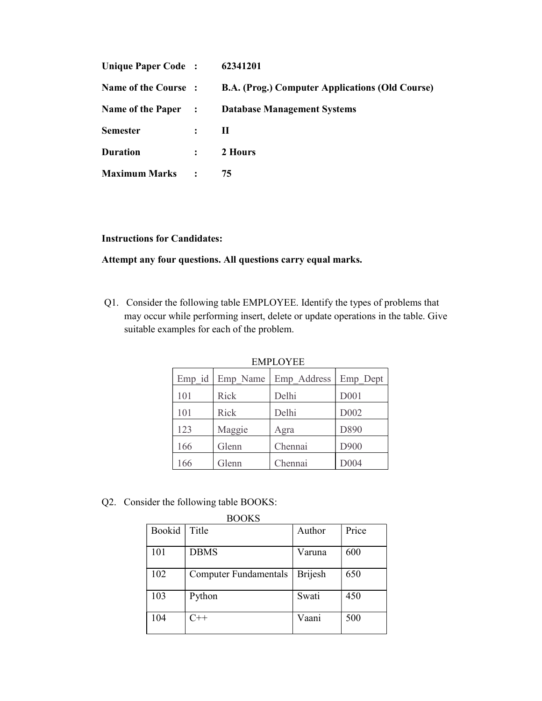| Unique Paper Code:   |                | 62341201                                               |
|----------------------|----------------|--------------------------------------------------------|
| Name of the Course:  |                | <b>B.A. (Prog.) Computer Applications (Old Course)</b> |
| Name of the Paper :  |                | <b>Database Management Systems</b>                     |
| <b>Semester</b>      | $\ddot{\cdot}$ | П                                                      |
| <b>Duration</b>      | $\ddot{\cdot}$ | 2 Hours                                                |
| <b>Maximum Marks</b> | $\ddot{\cdot}$ | 75                                                     |

## Instructions for Candidates:

## Attempt any four questions. All questions carry equal marks.

Q1. Consider the following table EMPLOYEE. Identify the types of problems that may occur while performing insert, delete or update operations in the table. Give suitable examples for each of the problem.

| ылны топ ты |                 |             |                  |  |
|-------------|-----------------|-------------|------------------|--|
|             | Emp id Emp Name | Emp Address | Emp Dept         |  |
| 101         | Rick            | Delhi       | D001             |  |
| 101         | Rick            | Delhi       | D <sub>002</sub> |  |
| 123         | Maggie          | Agra        | D890             |  |
| 166         | Glenn           | Chennai     | D900             |  |
| 166         | Glenn           | Chennai     | D004             |  |

EMPLOYEE

Q2. Consider the following table BOOKS:

|        | <b>BOOKS</b>                 |         |       |
|--------|------------------------------|---------|-------|
| Bookid | Title                        | Author  | Price |
| 101    | <b>DBMS</b>                  | Varuna  | 600   |
| 102    | <b>Computer Fundamentals</b> | Brijesh | 650   |
| 103    | Python                       | Swati   | 450   |
| 104    | $C++$                        | Vaani   | 500   |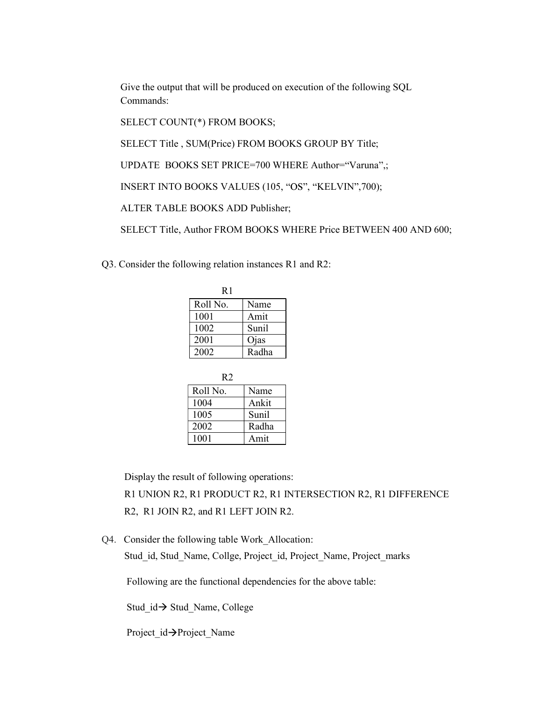Give the output that will be produced on execution of the following SQL Commands:

SELECT COUNT(\*) FROM BOOKS;

SELECT Title , SUM(Price) FROM BOOKS GROUP BY Title;

UPDATE BOOKS SET PRICE=700 WHERE Author="Varuna",;

INSERT INTO BOOKS VALUES (105, "OS", "KELVIN",700);

ALTER TABLE BOOKS ADD Publisher;

SELECT Title, Author FROM BOOKS WHERE Price BETWEEN 400 AND 600;

Q3. Consider the following relation instances R1 and R2:

| R1       |       |
|----------|-------|
| Roll No. | Name  |
| 1001     | Amit  |
| 1002     | Sunil |
| 2001     | Ojas  |
| 2002     | Radha |

| R2       |       |
|----------|-------|
| Roll No. | Name  |
| 1004     | Ankit |
| 1005     | Sunil |
| 2002     | Radha |
| 1001     | Amit  |

Display the result of following operations:

 R1 UNION R2, R1 PRODUCT R2, R1 INTERSECTION R2, R1 DIFFERENCE R2, R1 JOIN R2, and R1 LEFT JOIN R2.

Q4. Consider the following table Work\_Allocation: Stud id, Stud Name, Collge, Project id, Project Name, Project marks

Following are the functional dependencies for the above table:

Stud  $id \rightarrow$  Stud Name, College

Project  $id \rightarrow$ Project Name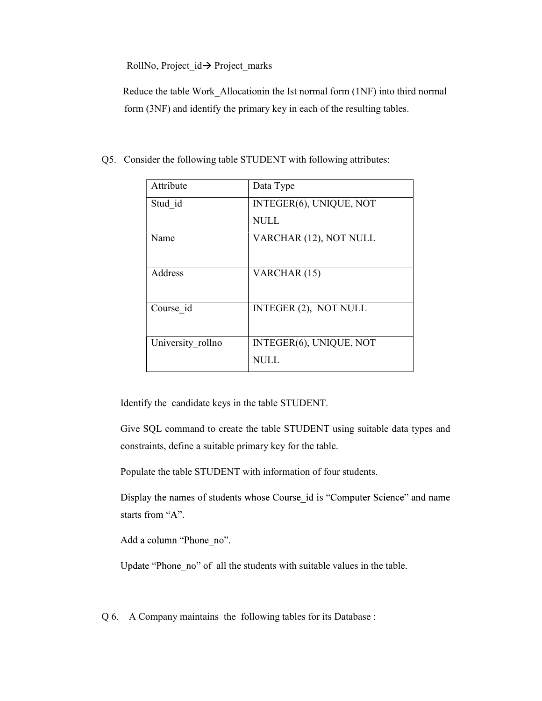RollNo, Project\_id Project\_marks

 Reduce the table Work\_Allocationin the Ist normal form (1NF) into third normal form (3NF) and identify the primary key in each of the resulting tables.

| Data Type               |  |
|-------------------------|--|
| INTEGER(6), UNIQUE, NOT |  |
| <b>NULL</b>             |  |
| VARCHAR (12), NOT NULL  |  |
|                         |  |
| VARCHAR (15)            |  |
|                         |  |
| INTEGER (2), NOT NULL   |  |
|                         |  |
| INTEGER(6), UNIQUE, NOT |  |
| <b>NULL</b>             |  |
|                         |  |

Q5. Consider the following table STUDENT with following attributes:

Identify the candidate keys in the table STUDENT.

Give SQL command to create the table STUDENT using suitable data types and constraints, define a suitable primary key for the table.

Populate the table STUDENT with information of four students.

Display the names of students whose Course id is "Computer Science" and name starts from "A".

Add a column "Phone no".

Update "Phone no" of all the students with suitable values in the table.

Q 6. A Company maintains the following tables for its Database :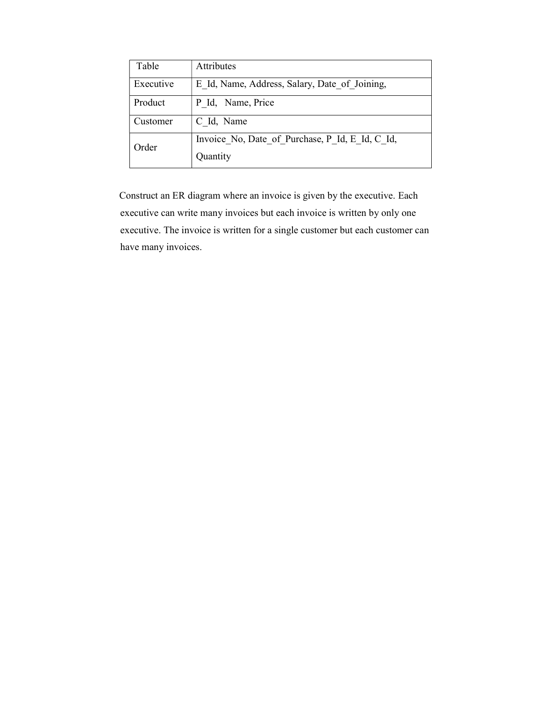| Table     | <b>Attributes</b>                                           |
|-----------|-------------------------------------------------------------|
| Executive | E Id, Name, Address, Salary, Date of Joining,               |
| Product   | P Id, Name, Price                                           |
| Customer  | C Id, Name                                                  |
| Order     | Invoice No, Date of Purchase, P Id, E Id, C Id,<br>Quantity |

 Construct an ER diagram where an invoice is given by the executive. Each executive can write many invoices but each invoice is written by only one executive. The invoice is written for a single customer but each customer can have many invoices.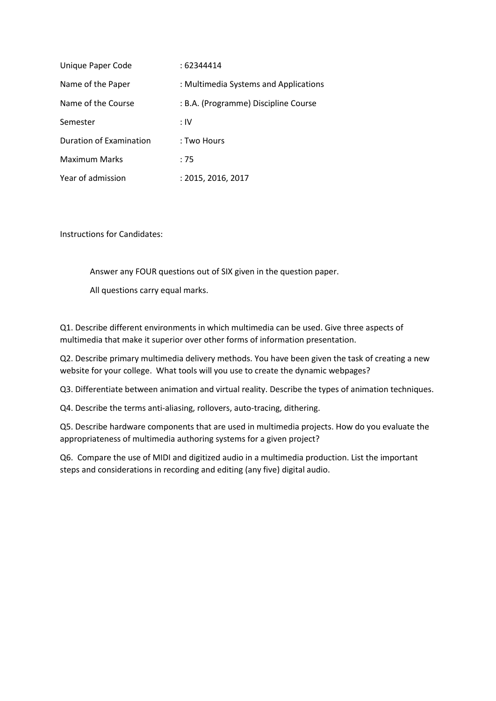| Unique Paper Code       | : 62344414                            |
|-------------------------|---------------------------------------|
| Name of the Paper       | : Multimedia Systems and Applications |
| Name of the Course      | : B.A. (Programme) Discipline Course  |
| Semester                | : IV                                  |
| Duration of Examination | : Two Hours                           |
| <b>Maximum Marks</b>    | :75                                   |
| Year of admission       | : 2015, 2016, 2017                    |

Instructions for Candidates:

Answer any FOUR questions out of SIX given in the question paper.

All questions carry equal marks.

Q1. Describe different environments in which multimedia can be used. Give three aspects of multimedia that make it superior over other forms of information presentation.

Q2. Describe primary multimedia delivery methods. You have been given the task of creating a new website for your college. What tools will you use to create the dynamic webpages?

Q3. Differentiate between animation and virtual reality. Describe the types of animation techniques.

Q4. Describe the terms anti-aliasing, rollovers, auto-tracing, dithering.

Q5. Describe hardware components that are used in multimedia projects. How do you evaluate the appropriateness of multimedia authoring systems for a given project?

Q6. Compare the use of MIDI and digitized audio in a multimedia production. List the important steps and considerations in recording and editing (any five) digital audio.